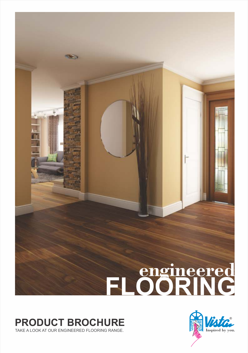## **FLOORING engineered**

## **PRODUCT BROCHURE**

**P**®

TAKE A LOOK AT OUR ENGINEERED FLOORING RANGE.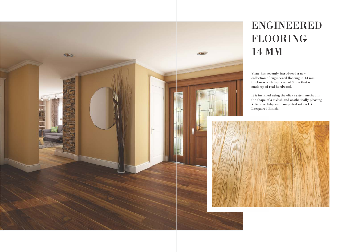# ENGINEERED FLOORING

Vista has recently introduced a new collection of engineered flooring in 14 mm thickness with top layer of 3 mm that is made up of real hardwood.



It is installed using the click system method in the shape of a stylish and aesthetically pleasing V Groove Edge and completed with a UV

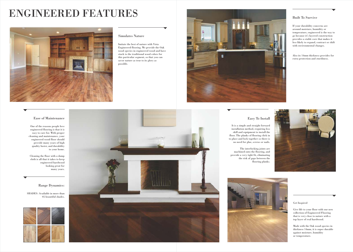#### Simulates Nature

Imitate the best of nature with Vista Engineered flooring. We provide the Oak wood species in engineered wood and have stuck to the traditional wood colors for this particular segment, so that you can savor nature as true to its glory as possible.



#### Get Inspired

Give life to your floor with our new collection of Engineered Flooring that is very close to nature with a top layer of real hardwood.

Made with the Oak wood species in thickness 14mm, it is super durable against moisture, humidity or temperature.

#### Easy To Install

It is a simple and straight forward installation method, requiring less skill and equipment to install the floor. The planks of flooring click in to place and lock together so there is no need for glue, screws or nails.

The interlocking joints are machined onto the flooring, and provide a very tight fit, eliminating the risk of gaps between the flooring planks.



### Built To Survive

If your durability concerns are around moisture, humidity or temperature, engineered is the way to go because it's layered construction provides a stable core that makes it less likely to expand, contract or shift with environmental changes.

Also its 14mm thickness provides for extra protection and sturdiness.



#### Range Dynamics:

SHADES: Available in more than 05 beautiful shades.





#### Ease of Maintenance

One of the reasons people love engineered flooring is that it is easy to care for. With proper cleaning and maintenance, your engineered wood floor should provide many years of high quality luster, and durability to your home.

Cleaning the floor with a damp cloth is all that it takes to keep engineered hardwood looking great for many years.

## ENGINEERED FEATURES